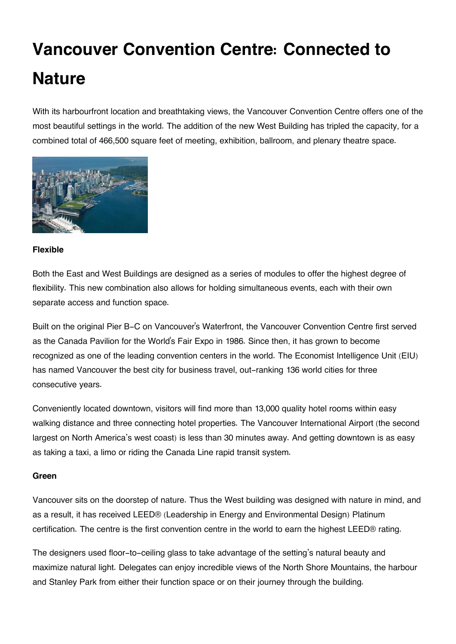# **Vancouver Convention Centre: Connected to Nature**

With its harbourfront location and breathtaking views, the Vancouver Convention Centre offers one of the most beautiful settings in the world. The addition of the new West Building has tripled the capacity, for a combined total of 466,500 square feet of meeting, exhibition, ballroom, and plenary theatre space.



### **Flexible**

Both the East and West Buildings are designed as a series of modules to offer the highest degree of flexibility. This new combination also allows for holding simultaneous events, each with their own separate access and function space.

Built on the original Pier B-C on Vancouver's Waterfront, the Vancouver Convention Centre first served as the Canada Pavilion for the World's Fair Expo in 1986. Since then, it has grown to become recognized as one of the leading convention centers in the world. The Economist Intelligence Unit (EIU) has named Vancouver the best city for business travel, out-ranking 136 world cities for three consecutive years.

Conveniently located downtown, visitors will find more than 13,000 quality hotel rooms within easy walking distance and three connecting hotel properties. The Vancouver International Airport (the second largest on North America's west coast) is less than 30 minutes away. And getting downtown is as easy as taking a taxi, a limo or riding the Canada Line rapid transit system.

### **Green**

Vancouver sits on the doorstep of nature. Thus the West building was designed with nature in mind, and as a result, it has received LEED® (Leadership in Energy and Environmental Design) Platinum certification. The centre is the first convention centre in the world to earn the highest LEED® rating.

The designers used floor-to-ceiling glass to take advantage of the setting's natural beauty and maximize natural light. Delegates can enjoy incredible views of the North Shore Mountains, the harbour and Stanley Park from either their function space or on their journey through the building.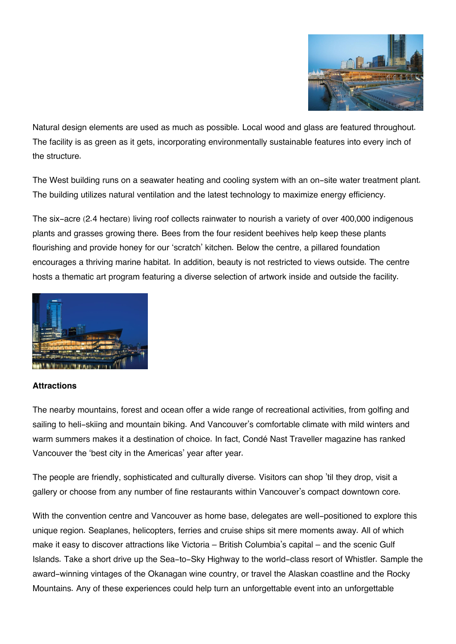

Natural design elements are used as much as possible. Local wood and glass are featured throughout. The facility is as green as it gets, incorporating environmentally sustainable features into every inch of the structure.

The West building runs on a seawater heating and cooling system with an on-site water treatment plant. The building utilizes natural ventilation and the latest technology to maximize energy efficiency.

The six-acre (2.4 hectare) living roof collects rainwater to nourish a variety of over 400,000 indigenous plants and grasses growing there. Bees from the four resident beehives help keep these plants flourishing and provide honey for our 'scratch' kitchen. Below the centre, a pillared foundation encourages a thriving marine habitat. In addition, beauty is not restricted to views outside. The centre hosts a thematic art program featuring a diverse selection of artwork inside and outside the facility.



### **Attractions**

The nearby mountains, forest and ocean offer a wide range of recreational activities, from golfing and sailing to heli-skiing and mountain biking. And Vancouver's comfortable climate with mild winters and warm summers makes it a destination of choice. In fact, Condé Nast Traveller magazine has ranked Vancouver the 'best city in the Americas' year after year.

The people are friendly, sophisticated and culturally diverse. Visitors can shop 'til they drop, visit a gallery or choose from any number of fine restaurants within Vancouver's compact downtown core.

With the convention centre and Vancouver as home base, delegates are well-positioned to explore this unique region. Seaplanes, helicopters, ferries and cruise ships sit mere moments away. All of which make it easy to discover attractions like Victoria – British Columbia's capital – and the scenic Gulf Islands. Take a short drive up the Sea-to-Sky Highway to the world-class resort of Whistler. Sample the award-winning vintages of the Okanagan wine country, or travel the Alaskan coastline and the Rocky Mountains. Any of these experiences could help turn an unforgettable event into an unforgettable